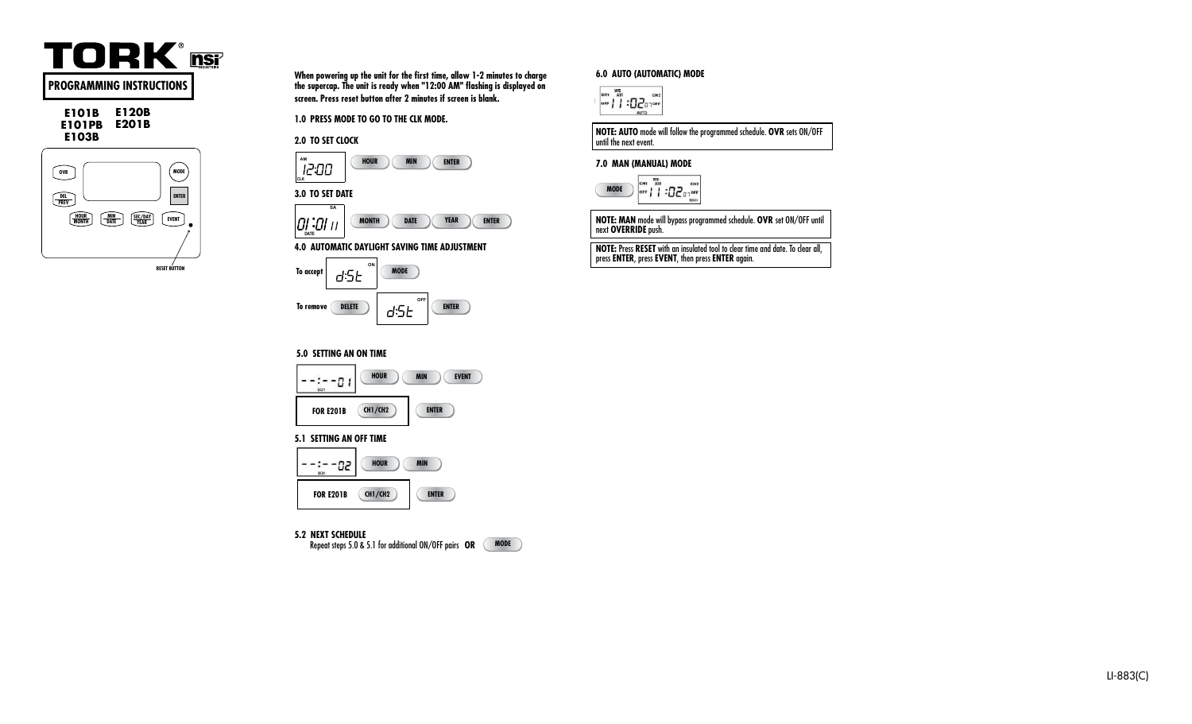

**E101B E120B E101PB E201B E103B** 



**When powering up the unit for the first time, allow 1-2 minutes to charge the supercap. The unit is ready when "12:00 AM" flashing is displayed on screen. Press reset button after 2 minutes if screen is blank.**

**1.0 PRESS MODE TO GO TO THE CLK MODE.** 





# **3.0 TO SET DATE SA CLK**

**CLK**



**4.0 AUTOMATIC DAYLIGHT SAVING TIME ADJUSTMENT** 



## **6.0 AUTO (AUTOMATIC) MODE**



**NOTE: AUTO** mode will follow the programmed schedule. **OVR** sets ON/OFF until the next event.

## **7.0 MAN (MANUAL) MODE**



**NOTE: MAN** mode will bypass programmed schedule. **OVR** set ON/OFF until next **OVERRIDE** push.

**NOTE:** Press **RESET** with an insulated tool to clear time and date. To clear all, press **ENTER**, press **EVENT**, then press **ENTER** again.

## **5.0 SETTING AN ON TIME**



## **5.1 SETTING AN OFF TIME**



## **5.2 NEXT SCHEDULE**



**1**